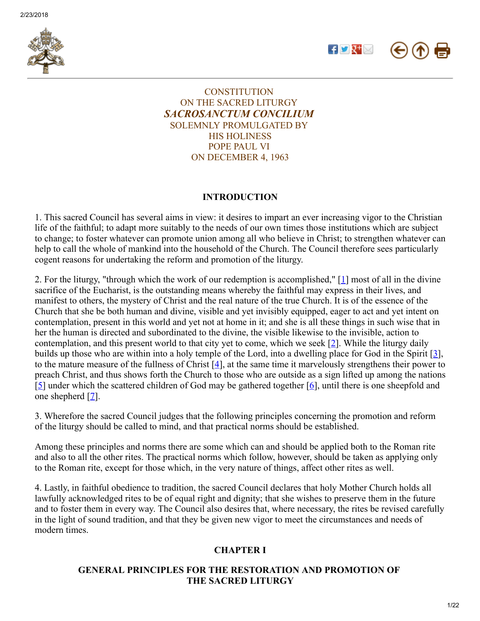



**CONSTITUTION** ON THE SACRED LITURGY *SACROSANCTUM CONCILIUM* SOLEMNLY PROMULGATED BY HIS HOLINESS POPE PAUL VI ON DECEMBER 4, 1963

#### <span id="page-0-3"></span><span id="page-0-2"></span><span id="page-0-1"></span><span id="page-0-0"></span>INTRODUCTION

1. This sacred Council has several aims in view: it desires to impart an ever increasing vigor to the Christian life of the faithful; to adapt more suitably to the needs of our own times those institutions which are subject to change; to foster whatever can promote union among all who believe in Christ; to strengthen whatever can help to call the whole of mankind into the household of the Church. The Council therefore sees particularly cogent reasons for undertaking the reform and promotion of the liturgy.

2. For the liturgy, "through which the work of our redemption is accomplished,"  $[1]$  $[1]$  most of all in the divine sacrifice of the Eucharist, is the outstanding means whereby the faithful may express in their lives, and manifest to others, the mystery of Christ and the real nature of the true Church. It is of the essence of the Church that she be both human and divine, visible and yet invisibly equipped, eager to act and yet intent on contemplation, present in this world and yet not at home in it; and she is all these things in such wise that in her the human is directed and subordinated to the divine, the visible likewise to the invisible, action to contemplation, and this present world to that city yet to come, which we seek [\[2](#page-20-0)]. While the liturgy daily builds up those who are within into a holy temple of the Lord, into a dwelling place for God in the Spirit [\[3](#page-20-1)], to the mature measure of the fullness of Christ  $[4]$  $[4]$ , at the same time it marvelously strengthens their power to preach Christ, and thus shows forth the Church to those who are outside as a sign lifted up among the nations [\[5](#page-20-3)] under which the scattered children of God may be gathered together [[6\]](#page-20-4), until there is one sheepfold and one shepherd  $[2]$ .

<span id="page-0-6"></span><span id="page-0-4"></span>3. Wherefore the sacred Council judges that the following principles concerning the promotion and reform of the liturgy should be called to mind, and that practical norms should be established.

Among these principles and norms there are some which can and should be applied both to the Roman rite and also to all the other rites. The practical norms which follow, however, should be taken as applying only to the Roman rite, except for those which, in the very nature of things, affect other rites as well.

4. Lastly, in faithful obedience to tradition, the sacred Council declares that holy Mother Church holds all lawfully acknowledged rites to be of equal right and dignity; that she wishes to preserve them in the future and to foster them in every way. The Council also desires that, where necessary, the rites be revised carefully in the light of sound tradition, and that they be given new vigor to meet the circumstances and needs of modern times.

### <span id="page-0-5"></span>CHAPTER I

#### GENERAL PRINCIPLES FOR THE RESTORATION AND PROMOTION OF THE SACRED LITURGY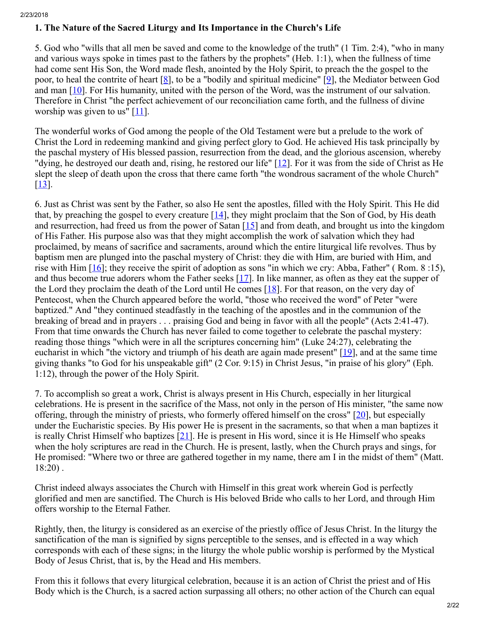#### 1. The Nature of the Sacred Liturgy and Its Importance in the Church's Life

<span id="page-1-1"></span><span id="page-1-0"></span>5. God who "wills that all men be saved and come to the knowledge of the truth" (1 Tim. 2:4), "who in many and various ways spoke in times past to the fathers by the prophets" (Heb. 1:1), when the fullness of time had come sent His Son, the Word made flesh, anointed by the Holy Spirit, to preach the the gospel to the poor, to heal the contrite of heart [\[8](#page-20-6)], to be a "bodily and spiritual medicine" [[9\]](#page-20-7), the Mediator between God and man [\[10](#page-20-8)]. For His humanity, united with the person of the Word, was the instrument of our salvation. Therefore in Christ "the perfect achievement of our reconciliation came forth, and the fullness of divine worship was given to us"  $[11]$ .

<span id="page-1-4"></span><span id="page-1-3"></span><span id="page-1-2"></span>The wonderful works of God among the people of the Old Testament were but a prelude to the work of Christ the Lord in redeeming mankind and giving perfect glory to God. He achieved His task principally by the paschal mystery of His blessed passion, resurrection from the dead, and the glorious ascension, whereby "dying, he destroyed our death and, rising, he restored our life" [[12](#page-20-10)]. For it was from the side of Christ as He slept the sleep of death upon the cross that there came forth "the wondrous sacrament of the whole Church" [\[13](#page-20-11)].

<span id="page-1-10"></span><span id="page-1-9"></span><span id="page-1-8"></span><span id="page-1-7"></span><span id="page-1-6"></span><span id="page-1-5"></span>6. Just as Christ was sent by the Father, so also He sent the apostles, filled with the Holy Spirit. This He did that, by preaching the gospel to every creature  $[14]$  $[14]$ , they might proclaim that the Son of God, by His death and resurrection, had freed us from the power of Satan  $[15]$  $[15]$  and from death, and brought us into the kingdom of His Father. His purpose also was that they might accomplish the work of salvation which they had proclaimed, by means of sacrifice and sacraments, around which the entire liturgical life revolves. Thus by baptism men are plunged into the paschal mystery of Christ: they die with Him, are buried with Him, and rise with Him [[16\]](#page-20-14); they receive the spirit of adoption as sons "in which we cry: Abba, Father" ( Rom. 8 :15), and thus become true adorers whom the Father seeks [\[17](#page-20-15)]. In like manner, as often as they eat the supper of the Lord they proclaim the death of the Lord until He comes  $[18]$  $[18]$ . For that reason, on the very day of Pentecost, when the Church appeared before the world, "those who received the word" of Peter "were baptized." And "they continued steadfastly in the teaching of the apostles and in the communion of the breaking of bread and in prayers . . . praising God and being in favor with all the people" (Acts 2:41-47). From that time onwards the Church has never failed to come together to celebrate the paschal mystery: reading those things "which were in all the scriptures concerning him" (Luke 24:27), celebrating the eucharist in which "the victory and triumph of his death are again made present" [[19\]](#page-20-17), and at the same time giving thanks "to God for his unspeakable gift" (2 Cor. 9:15) in Christ Jesus, "in praise of his glory" (Eph. 1:12), through the power of the Holy Spirit.

<span id="page-1-13"></span><span id="page-1-12"></span><span id="page-1-11"></span>7. To accomplish so great a work, Christ is always present in His Church, especially in her liturgical celebrations. He is present in the sacrifice of the Mass, not only in the person of His minister, "the same now offering, through the ministry of priests, who formerly offered himself on the cross" [\[20](#page-20-18)], but especially under the Eucharistic species. By His power He is present in the sacraments, so that when a man baptizes it is really Christ Himself who baptizes  $[21]$  $[21]$ . He is present in His word, since it is He Himself who speaks when the holy scriptures are read in the Church. He is present, lastly, when the Church prays and sings, for He promised: "Where two or three are gathered together in my name, there am I in the midst of them" (Matt. 18:20) .

Christ indeed always associates the Church with Himself in this great work wherein God is perfectly glorified and men are sanctified. The Church is His beloved Bride who calls to her Lord, and through Him offers worship to the Eternal Father.

Rightly, then, the liturgy is considered as an exercise of the priestly office of Jesus Christ. In the liturgy the sanctification of the man is signified by signs perceptible to the senses, and is effected in a way which corresponds with each of these signs; in the liturgy the whole public worship is performed by the Mystical Body of Jesus Christ, that is, by the Head and His members.

From this it follows that every liturgical celebration, because it is an action of Christ the priest and of His Body which is the Church, is a sacred action surpassing all others; no other action of the Church can equal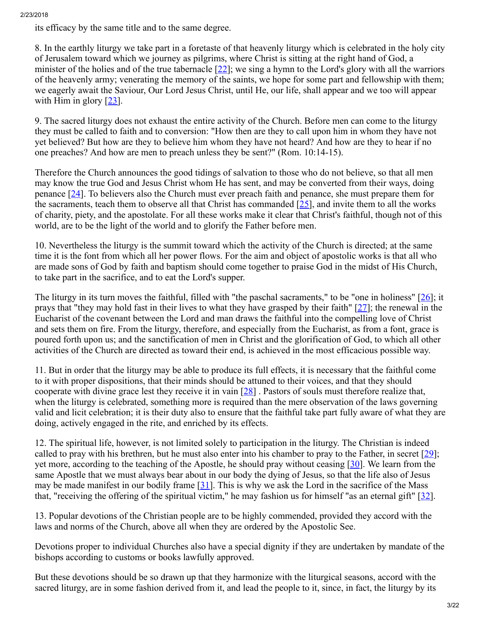its efficacy by the same title and to the same degree.

<span id="page-2-0"></span>8. In the earthly liturgy we take part in a foretaste of that heavenly liturgy which is celebrated in the holy city of Jerusalem toward which we journey as pilgrims, where Christ is sitting at the right hand of God, a minister of the holies and of the true tabernacle  $[22]$  $[22]$ ; we sing a hymn to the Lord's glory with all the warriors of the heavenly army; venerating the memory of the saints, we hope for some part and fellowship with them; we eagerly await the Saviour, Our Lord Jesus Christ, until He, our life, shall appear and we too will appear with Him in glory  $[23]$  $[23]$ .

<span id="page-2-1"></span>9. The sacred liturgy does not exhaust the entire activity of the Church. Before men can come to the liturgy they must be called to faith and to conversion: "How then are they to call upon him in whom they have not yet believed? But how are they to believe him whom they have not heard? And how are they to hear if no one preaches? And how are men to preach unless they be sent?" (Rom. 10:14-15).

<span id="page-2-3"></span><span id="page-2-2"></span>Therefore the Church announces the good tidings of salvation to those who do not believe, so that all men may know the true God and Jesus Christ whom He has sent, and may be converted from their ways, doing penance [\[24](#page-20-22)]. To believers also the Church must ever preach faith and penance, she must prepare them for the sacraments, teach them to observe all that Christ has commanded  $[25]$  $[25]$  $[25]$ , and invite them to all the works of charity, piety, and the apostolate. For all these works make it clear that Christ's faithful, though not of this world, are to be the light of the world and to glorify the Father before men.

10. Nevertheless the liturgy is the summit toward which the activity of the Church is directed; at the same time it is the font from which all her power flows. For the aim and object of apostolic works is that all who are made sons of God by faith and baptism should come together to praise God in the midst of His Church, to take part in the sacrifice, and to eat the Lord's supper.

<span id="page-2-5"></span><span id="page-2-4"></span>The liturgy in its turn moves the faithful, filled with "the paschal sacraments," to be "one in holiness" [[26\]](#page-20-24); it prays that "they may hold fast in their lives to what they have grasped by their faith" [\[27](#page-20-25)]; the renewal in the Eucharist of the covenant between the Lord and man draws the faithful into the compelling love of Christ and sets them on fire. From the liturgy, therefore, and especially from the Eucharist, as from a font, grace is poured forth upon us; and the sanctification of men in Christ and the glorification of God, to which all other activities of the Church are directed as toward their end, is achieved in the most efficacious possible way.

<span id="page-2-6"></span>11. But in order that the liturgy may be able to produce its full effects, it is necessary that the faithful come to it with proper dispositions, that their minds should be attuned to their voices, and that they should cooperate with divine grace lest they receive it in vain [[28\]](#page-20-26) . Pastors of souls must therefore realize that, when the liturgy is celebrated, something more is required than the mere observation of the laws governing valid and licit celebration; it is their duty also to ensure that the faithful take part fully aware of what they are doing, actively engaged in the rite, and enriched by its effects.

<span id="page-2-8"></span><span id="page-2-7"></span>12. The spiritual life, however, is not limited solely to participation in the liturgy. The Christian is indeed called to pray with his brethren, but he must also enter into his chamber to pray to the Father, in secret [\[29](#page-20-27)]; yet more, according to the teaching of the Apostle, he should pray without ceasing [[30\]](#page-21-0). We learn from the same Apostle that we must always bear about in our body the dying of Jesus, so that the life also of Jesus may be made manifest in our bodily frame [[31\]](#page-21-1). This is why we ask the Lord in the sacrifice of the Mass that, "receiving the offering of the spiritual victim," he may fashion us for himself "as an eternal gift" [[32\]](#page-21-2).

<span id="page-2-10"></span><span id="page-2-9"></span>13. Popular devotions of the Christian people are to be highly commended, provided they accord with the laws and norms of the Church, above all when they are ordered by the Apostolic See.

Devotions proper to individual Churches also have a special dignity if they are undertaken by mandate of the bishops according to customs or books lawfully approved.

But these devotions should be so drawn up that they harmonize with the liturgical seasons, accord with the sacred liturgy, are in some fashion derived from it, and lead the people to it, since, in fact, the liturgy by its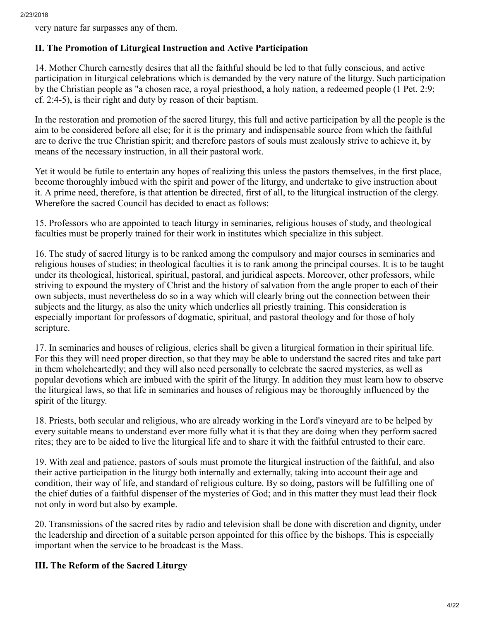very nature far surpasses any of them.

# II. The Promotion of Liturgical Instruction and Active Participation

14. Mother Church earnestly desires that all the faithful should be led to that fully conscious, and active participation in liturgical celebrations which is demanded by the very nature of the liturgy. Such participation by the Christian people as "a chosen race, a royal priesthood, a holy nation, a redeemed people (1 Pet. 2:9; cf. 2:4-5), is their right and duty by reason of their baptism.

In the restoration and promotion of the sacred liturgy, this full and active participation by all the people is the aim to be considered before all else; for it is the primary and indispensable source from which the faithful are to derive the true Christian spirit; and therefore pastors of souls must zealously strive to achieve it, by means of the necessary instruction, in all their pastoral work.

Yet it would be futile to entertain any hopes of realizing this unless the pastors themselves, in the first place, become thoroughly imbued with the spirit and power of the liturgy, and undertake to give instruction about it. A prime need, therefore, is that attention be directed, first of all, to the liturgical instruction of the clergy. Wherefore the sacred Council has decided to enact as follows:

15. Professors who are appointed to teach liturgy in seminaries, religious houses of study, and theological faculties must be properly trained for their work in institutes which specialize in this subject.

16. The study of sacred liturgy is to be ranked among the compulsory and major courses in seminaries and religious houses of studies; in theological faculties it is to rank among the principal courses. It is to be taught under its theological, historical, spiritual, pastoral, and juridical aspects. Moreover, other professors, while striving to expound the mystery of Christ and the history of salvation from the angle proper to each of their own subjects, must nevertheless do so in a way which will clearly bring out the connection between their subjects and the liturgy, as also the unity which underlies all priestly training. This consideration is especially important for professors of dogmatic, spiritual, and pastoral theology and for those of holy scripture.

17. In seminaries and houses of religious, clerics shall be given a liturgical formation in their spiritual life. For this they will need proper direction, so that they may be able to understand the sacred rites and take part in them wholeheartedly; and they will also need personally to celebrate the sacred mysteries, as well as popular devotions which are imbued with the spirit of the liturgy. In addition they must learn how to observe the liturgical laws, so that life in seminaries and houses of religious may be thoroughly influenced by the spirit of the liturgy.

18. Priests, both secular and religious, who are already working in the Lord's vineyard are to be helped by every suitable means to understand ever more fully what it is that they are doing when they perform sacred rites; they are to be aided to live the liturgical life and to share it with the faithful entrusted to their care.

19. With zeal and patience, pastors of souls must promote the liturgical instruction of the faithful, and also their active participation in the liturgy both internally and externally, taking into account their age and condition, their way of life, and standard of religious culture. By so doing, pastors will be fulfilling one of the chief duties of a faithful dispenser of the mysteries of God; and in this matter they must lead their flock not only in word but also by example.

20. Transmissions of the sacred rites by radio and television shall be done with discretion and dignity, under the leadership and direction of a suitable person appointed for this office by the bishops. This is especially important when the service to be broadcast is the Mass.

# III. The Reform of the Sacred Liturgy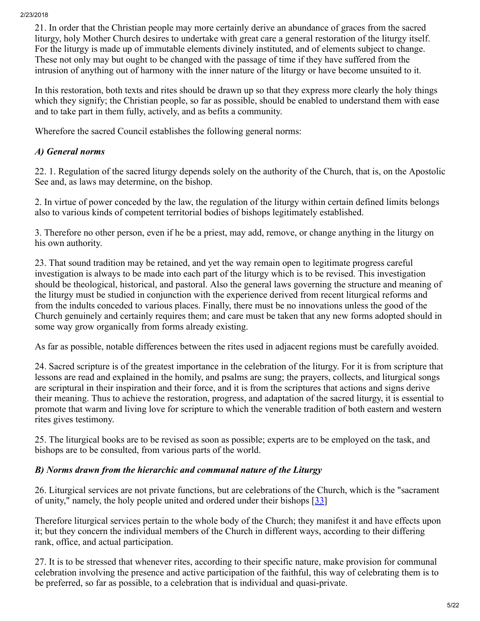21. In order that the Christian people may more certainly derive an abundance of graces from the sacred liturgy, holy Mother Church desires to undertake with great care a general restoration of the liturgy itself. For the liturgy is made up of immutable elements divinely instituted, and of elements subject to change. These not only may but ought to be changed with the passage of time if they have suffered from the intrusion of anything out of harmony with the inner nature of the liturgy or have become unsuited to it.

In this restoration, both texts and rites should be drawn up so that they express more clearly the holy things which they signify; the Christian people, so far as possible, should be enabled to understand them with ease and to take part in them fully, actively, and as befits a community.

Wherefore the sacred Council establishes the following general norms:

# *A) General norms*

22. 1. Regulation of the sacred liturgy depends solely on the authority of the Church, that is, on the Apostolic See and, as laws may determine, on the bishop.

2. In virtue of power conceded by the law, the regulation of the liturgy within certain defined limits belongs also to various kinds of competent territorial bodies of bishops legitimately established.

3. Therefore no other person, even if he be a priest, may add, remove, or change anything in the liturgy on his own authority.

23. That sound tradition may be retained, and yet the way remain open to legitimate progress careful investigation is always to be made into each part of the liturgy which is to be revised. This investigation should be theological, historical, and pastoral. Also the general laws governing the structure and meaning of the liturgy must be studied in conjunction with the experience derived from recent liturgical reforms and from the indults conceded to various places. Finally, there must be no innovations unless the good of the Church genuinely and certainly requires them; and care must be taken that any new forms adopted should in some way grow organically from forms already existing.

As far as possible, notable differences between the rites used in adjacent regions must be carefully avoided.

24. Sacred scripture is of the greatest importance in the celebration of the liturgy. For it is from scripture that lessons are read and explained in the homily, and psalms are sung; the prayers, collects, and liturgical songs are scriptural in their inspiration and their force, and it is from the scriptures that actions and signs derive their meaning. Thus to achieve the restoration, progress, and adaptation of the sacred liturgy, it is essential to promote that warm and living love for scripture to which the venerable tradition of both eastern and western rites gives testimony.

25. The liturgical books are to be revised as soon as possible; experts are to be employed on the task, and bishops are to be consulted, from various parts of the world.

# *B) Norms drawn from the hierarchic and communal nature of the Liturgy*

<span id="page-4-0"></span>26. Liturgical services are not private functions, but are celebrations of the Church, which is the "sacrament of unity," namely, the holy people united and ordered under their bishops [[33\]](#page-21-3)

Therefore liturgical services pertain to the whole body of the Church; they manifest it and have effects upon it; but they concern the individual members of the Church in different ways, according to their differing rank, office, and actual participation.

27. It is to be stressed that whenever rites, according to their specific nature, make provision for communal celebration involving the presence and active participation of the faithful, this way of celebrating them is to be preferred, so far as possible, to a celebration that is individual and quasi-private.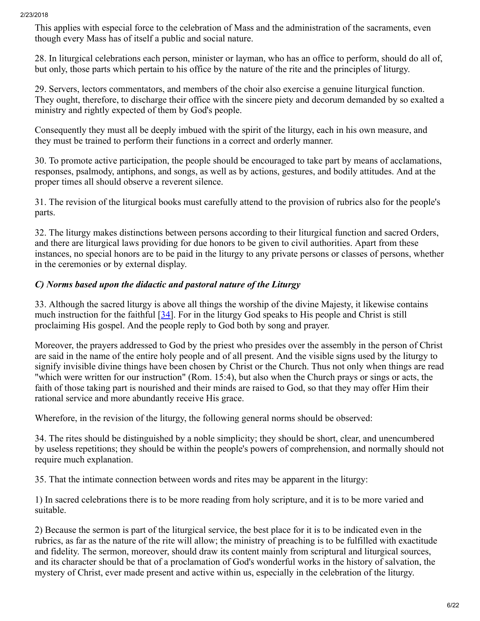This applies with especial force to the celebration of Mass and the administration of the sacraments, even though every Mass has of itself a public and social nature.

28. In liturgical celebrations each person, minister or layman, who has an office to perform, should do all of, but only, those parts which pertain to his office by the nature of the rite and the principles of liturgy.

29. Servers, lectors commentators, and members of the choir also exercise a genuine liturgical function. They ought, therefore, to discharge their office with the sincere piety and decorum demanded by so exalted a ministry and rightly expected of them by God's people.

Consequently they must all be deeply imbued with the spirit of the liturgy, each in his own measure, and they must be trained to perform their functions in a correct and orderly manner.

30. To promote active participation, the people should be encouraged to take part by means of acclamations, responses, psalmody, antiphons, and songs, as well as by actions, gestures, and bodily attitudes. And at the proper times all should observe a reverent silence.

31. The revision of the liturgical books must carefully attend to the provision of rubrics also for the people's parts.

32. The liturgy makes distinctions between persons according to their liturgical function and sacred Orders, and there are liturgical laws providing for due honors to be given to civil authorities. Apart from these instances, no special honors are to be paid in the liturgy to any private persons or classes of persons, whether in the ceremonies or by external display.

# *C) Norms based upon the didactic and pastoral nature of the Liturgy*

<span id="page-5-0"></span>33. Although the sacred liturgy is above all things the worship of the divine Majesty, it likewise contains much instruction for the faithful [\[34](#page-21-4)]. For in the liturgy God speaks to His people and Christ is still proclaiming His gospel. And the people reply to God both by song and prayer.

Moreover, the prayers addressed to God by the priest who presides over the assembly in the person of Christ are said in the name of the entire holy people and of all present. And the visible signs used by the liturgy to signify invisible divine things have been chosen by Christ or the Church. Thus not only when things are read "which were written for our instruction" (Rom. 15:4), but also when the Church prays or sings or acts, the faith of those taking part is nourished and their minds are raised to God, so that they may offer Him their rational service and more abundantly receive His grace.

Wherefore, in the revision of the liturgy, the following general norms should be observed:

34. The rites should be distinguished by a noble simplicity; they should be short, clear, and unencumbered by useless repetitions; they should be within the people's powers of comprehension, and normally should not require much explanation.

35. That the intimate connection between words and rites may be apparent in the liturgy:

1) In sacred celebrations there is to be more reading from holy scripture, and it is to be more varied and suitable.

2) Because the sermon is part of the liturgical service, the best place for it is to be indicated even in the rubrics, as far as the nature of the rite will allow; the ministry of preaching is to be fulfilled with exactitude and fidelity. The sermon, moreover, should draw its content mainly from scriptural and liturgical sources, and its character should be that of a proclamation of God's wonderful works in the history of salvation, the mystery of Christ, ever made present and active within us, especially in the celebration of the liturgy.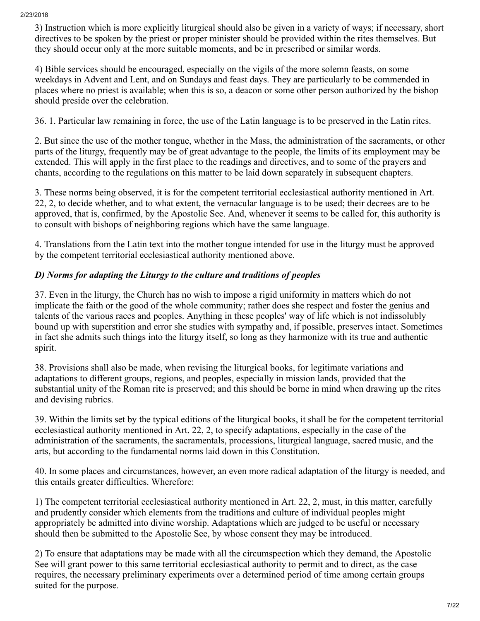3) Instruction which is more explicitly liturgical should also be given in a variety of ways; if necessary, short directives to be spoken by the priest or proper minister should be provided within the rites themselves. But they should occur only at the more suitable moments, and be in prescribed or similar words.

4) Bible services should be encouraged, especially on the vigils of the more solemn feasts, on some weekdays in Advent and Lent, and on Sundays and feast days. They are particularly to be commended in places where no priest is available; when this is so, a deacon or some other person authorized by the bishop should preside over the celebration.

36. 1. Particular law remaining in force, the use of the Latin language is to be preserved in the Latin rites.

2. But since the use of the mother tongue, whether in the Mass, the administration of the sacraments, or other parts of the liturgy, frequently may be of great advantage to the people, the limits of its employment may be extended. This will apply in the first place to the readings and directives, and to some of the prayers and chants, according to the regulations on this matter to be laid down separately in subsequent chapters.

3. These norms being observed, it is for the competent territorial ecclesiastical authority mentioned in Art. 22, 2, to decide whether, and to what extent, the vernacular language is to be used; their decrees are to be approved, that is, confirmed, by the Apostolic See. And, whenever it seems to be called for, this authority is to consult with bishops of neighboring regions which have the same language.

4. Translations from the Latin text into the mother tongue intended for use in the liturgy must be approved by the competent territorial ecclesiastical authority mentioned above.

## *D) Norms for adapting the Liturgy to the culture and traditions of peoples*

37. Even in the liturgy, the Church has no wish to impose a rigid uniformity in matters which do not implicate the faith or the good of the whole community; rather does she respect and foster the genius and talents of the various races and peoples. Anything in these peoples' way of life which is not indissolubly bound up with superstition and error she studies with sympathy and, if possible, preserves intact. Sometimes in fact she admits such things into the liturgy itself, so long as they harmonize with its true and authentic spirit.

38. Provisions shall also be made, when revising the liturgical books, for legitimate variations and adaptations to different groups, regions, and peoples, especially in mission lands, provided that the substantial unity of the Roman rite is preserved; and this should be borne in mind when drawing up the rites and devising rubrics.

39. Within the limits set by the typical editions of the liturgical books, it shall be for the competent territorial ecclesiastical authority mentioned in Art. 22, 2, to specify adaptations, especially in the case of the administration of the sacraments, the sacramentals, processions, liturgical language, sacred music, and the arts, but according to the fundamental norms laid down in this Constitution.

40. In some places and circumstances, however, an even more radical adaptation of the liturgy is needed, and this entails greater difficulties. Wherefore:

1) The competent territorial ecclesiastical authority mentioned in Art. 22, 2, must, in this matter, carefully and prudently consider which elements from the traditions and culture of individual peoples might appropriately be admitted into divine worship. Adaptations which are judged to be useful or necessary should then be submitted to the Apostolic See, by whose consent they may be introduced.

2) To ensure that adaptations may be made with all the circumspection which they demand, the Apostolic See will grant power to this same territorial ecclesiastical authority to permit and to direct, as the case requires, the necessary preliminary experiments over a determined period of time among certain groups suited for the purpose.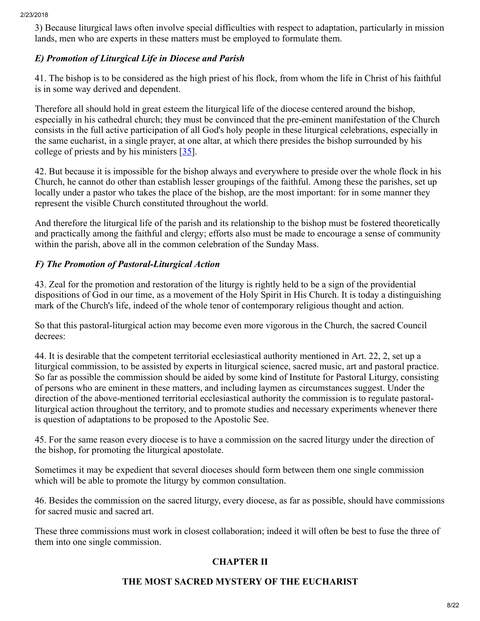3) Because liturgical laws often involve special difficulties with respect to adaptation, particularly in mission lands, men who are experts in these matters must be employed to formulate them.

## *E) Promotion of Liturgical Life in Diocese and Parish*

41. The bishop is to be considered as the high priest of his flock, from whom the life in Christ of his faithful is in some way derived and dependent.

Therefore all should hold in great esteem the liturgical life of the diocese centered around the bishop, especially in his cathedral church; they must be convinced that the pre-eminent manifestation of the Church consists in the full active participation of all God's holy people in these liturgical celebrations, especially in the same eucharist, in a single prayer, at one altar, at which there presides the bishop surrounded by his college of priests and by his ministers [[35\]](#page-21-5).

<span id="page-7-0"></span>42. But because it is impossible for the bishop always and everywhere to preside over the whole flock in his Church, he cannot do other than establish lesser groupings of the faithful. Among these the parishes, set up locally under a pastor who takes the place of the bishop, are the most important: for in some manner they represent the visible Church constituted throughout the world.

And therefore the liturgical life of the parish and its relationship to the bishop must be fostered theoretically and practically among the faithful and clergy; efforts also must be made to encourage a sense of community within the parish, above all in the common celebration of the Sunday Mass.

## *F) The Promotion of Pastoral-Liturgical Action*

43. Zeal for the promotion and restoration of the liturgy is rightly held to be a sign of the providential dispositions of God in our time, as a movement of the Holy Spirit in His Church. It is today a distinguishing mark of the Church's life, indeed of the whole tenor of contemporary religious thought and action.

So that this pastoral-liturgical action may become even more vigorous in the Church, the sacred Council decrees:

44. It is desirable that the competent territorial ecclesiastical authority mentioned in Art. 22, 2, set up a liturgical commission, to be assisted by experts in liturgical science, sacred music, art and pastoral practice. So far as possible the commission should be aided by some kind of Institute for Pastoral Liturgy, consisting of persons who are eminent in these matters, and including laymen as circumstances suggest. Under the direction of the above-mentioned territorial ecclesiastical authority the commission is to regulate pastoralliturgical action throughout the territory, and to promote studies and necessary experiments whenever there is question of adaptations to be proposed to the Apostolic See.

45. For the same reason every diocese is to have a commission on the sacred liturgy under the direction of the bishop, for promoting the liturgical apostolate.

Sometimes it may be expedient that several dioceses should form between them one single commission which will be able to promote the liturgy by common consultation.

46. Besides the commission on the sacred liturgy, every diocese, as far as possible, should have commissions for sacred music and sacred art.

These three commissions must work in closest collaboration; indeed it will often be best to fuse the three of them into one single commission.

### CHAPTER II

### THE MOST SACRED MYSTERY OF THE EUCHARIST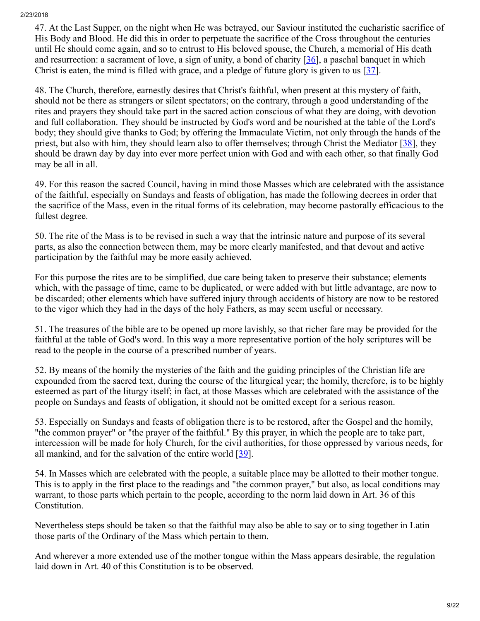<span id="page-8-0"></span>47. At the Last Supper, on the night when He was betrayed, our Saviour instituted the eucharistic sacrifice of His Body and Blood. He did this in order to perpetuate the sacrifice of the Cross throughout the centuries until He should come again, and so to entrust to His beloved spouse, the Church, a memorial of His death and resurrection: a sacrament of love, a sign of unity, a bond of charity  $[36]$  $[36]$ , a paschal banquet in which Christ is eaten, the mind is filled with grace, and a pledge of future glory is given to us  $[37]$  $[37]$ .

<span id="page-8-1"></span>48. The Church, therefore, earnestly desires that Christ's faithful, when present at this mystery of faith, should not be there as strangers or silent spectators; on the contrary, through a good understanding of the rites and prayers they should take part in the sacred action conscious of what they are doing, with devotion and full collaboration. They should be instructed by God's word and be nourished at the table of the Lord's body; they should give thanks to God; by offering the Immaculate Victim, not only through the hands of the priest, but also with him, they should learn also to offer themselves; through Christ the Mediator [[38](#page-21-8)], they should be drawn day by day into ever more perfect union with God and with each other, so that finally God may be all in all.

<span id="page-8-2"></span>49. For this reason the sacred Council, having in mind those Masses which are celebrated with the assistance of the faithful, especially on Sundays and feasts of obligation, has made the following decrees in order that the sacrifice of the Mass, even in the ritual forms of its celebration, may become pastorally efficacious to the fullest degree.

50. The rite of the Mass is to be revised in such a way that the intrinsic nature and purpose of its several parts, as also the connection between them, may be more clearly manifested, and that devout and active participation by the faithful may be more easily achieved.

For this purpose the rites are to be simplified, due care being taken to preserve their substance; elements which, with the passage of time, came to be duplicated, or were added with but little advantage, are now to be discarded; other elements which have suffered injury through accidents of history are now to be restored to the vigor which they had in the days of the holy Fathers, as may seem useful or necessary.

51. The treasures of the bible are to be opened up more lavishly, so that richer fare may be provided for the faithful at the table of God's word. In this way a more representative portion of the holy scriptures will be read to the people in the course of a prescribed number of years.

52. By means of the homily the mysteries of the faith and the guiding principles of the Christian life are expounded from the sacred text, during the course of the liturgical year; the homily, therefore, is to be highly esteemed as part of the liturgy itself; in fact, at those Masses which are celebrated with the assistance of the people on Sundays and feasts of obligation, it should not be omitted except for a serious reason.

53. Especially on Sundays and feasts of obligation there is to be restored, after the Gospel and the homily, "the common prayer" or "the prayer of the faithful." By this prayer, in which the people are to take part, intercession will be made for holy Church, for the civil authorities, for those oppressed by various needs, for all mankind, and for the salvation of the entire world  $\left[\frac{39}{2}\right]$ .

<span id="page-8-3"></span>54. In Masses which are celebrated with the people, a suitable place may be allotted to their mother tongue. This is to apply in the first place to the readings and "the common prayer," but also, as local conditions may warrant, to those parts which pertain to the people, according to the norm laid down in Art. 36 of this Constitution.

Nevertheless steps should be taken so that the faithful may also be able to say or to sing together in Latin those parts of the Ordinary of the Mass which pertain to them.

And wherever a more extended use of the mother tongue within the Mass appears desirable, the regulation laid down in Art. 40 of this Constitution is to be observed.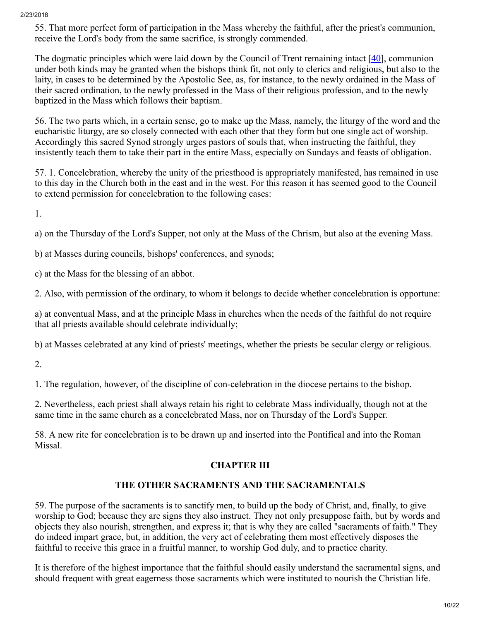55. That more perfect form of participation in the Mass whereby the faithful, after the priest's communion, receive the Lord's body from the same sacrifice, is strongly commended.

<span id="page-9-0"></span>The dogmatic principles which were laid down by the Council of Trent remaining intact [[40\]](#page-21-10), communion under both kinds may be granted when the bishops think fit, not only to clerics and religious, but also to the laity, in cases to be determined by the Apostolic See, as, for instance, to the newly ordained in the Mass of their sacred ordination, to the newly professed in the Mass of their religious profession, and to the newly baptized in the Mass which follows their baptism.

56. The two parts which, in a certain sense, go to make up the Mass, namely, the liturgy of the word and the eucharistic liturgy, are so closely connected with each other that they form but one single act of worship. Accordingly this sacred Synod strongly urges pastors of souls that, when instructing the faithful, they insistently teach them to take their part in the entire Mass, especially on Sundays and feasts of obligation.

57. 1. Concelebration, whereby the unity of the priesthood is appropriately manifested, has remained in use to this day in the Church both in the east and in the west. For this reason it has seemed good to the Council to extend permission for concelebration to the following cases:

1.

a) on the Thursday of the Lord's Supper, not only at the Mass of the Chrism, but also at the evening Mass.

b) at Masses during councils, bishops' conferences, and synods;

c) at the Mass for the blessing of an abbot.

2. Also, with permission of the ordinary, to whom it belongs to decide whether concelebration is opportune:

a) at conventual Mass, and at the principle Mass in churches when the needs of the faithful do not require that all priests available should celebrate individually;

b) at Masses celebrated at any kind of priests' meetings, whether the priests be secular clergy or religious.

2.

1. The regulation, however, of the discipline of con-celebration in the diocese pertains to the bishop.

2. Nevertheless, each priest shall always retain his right to celebrate Mass individually, though not at the same time in the same church as a concelebrated Mass, nor on Thursday of the Lord's Supper.

58. A new rite for concelebration is to be drawn up and inserted into the Pontifical and into the Roman Missal.

### CHAPTER III

### THE OTHER SACRAMENTS AND THE SACRAMENTALS

59. The purpose of the sacraments is to sanctify men, to build up the body of Christ, and, finally, to give worship to God; because they are signs they also instruct. They not only presuppose faith, but by words and objects they also nourish, strengthen, and express it; that is why they are called "sacraments of faith." They do indeed impart grace, but, in addition, the very act of celebrating them most effectively disposes the faithful to receive this grace in a fruitful manner, to worship God duly, and to practice charity.

It is therefore of the highest importance that the faithful should easily understand the sacramental signs, and should frequent with great eagerness those sacraments which were instituted to nourish the Christian life.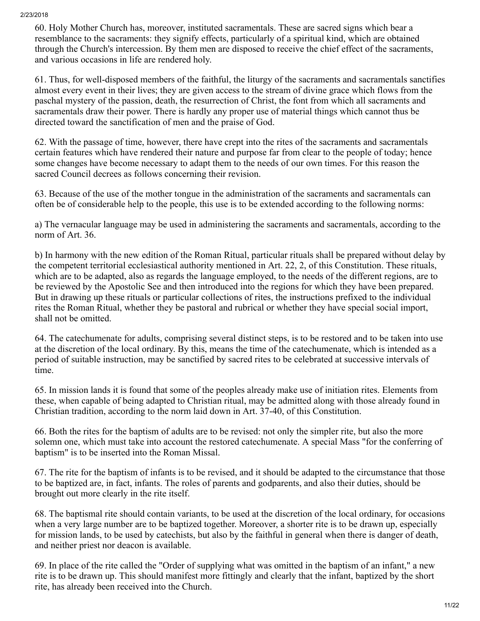60. Holy Mother Church has, moreover, instituted sacramentals. These are sacred signs which bear a resemblance to the sacraments: they signify effects, particularly of a spiritual kind, which are obtained through the Church's intercession. By them men are disposed to receive the chief effect of the sacraments, and various occasions in life are rendered holy.

61. Thus, for well-disposed members of the faithful, the liturgy of the sacraments and sacramentals sanctifies almost every event in their lives; they are given access to the stream of divine grace which flows from the paschal mystery of the passion, death, the resurrection of Christ, the font from which all sacraments and sacramentals draw their power. There is hardly any proper use of material things which cannot thus be directed toward the sanctification of men and the praise of God.

62. With the passage of time, however, there have crept into the rites of the sacraments and sacramentals certain features which have rendered their nature and purpose far from clear to the people of today; hence some changes have become necessary to adapt them to the needs of our own times. For this reason the sacred Council decrees as follows concerning their revision.

63. Because of the use of the mother tongue in the administration of the sacraments and sacramentals can often be of considerable help to the people, this use is to be extended according to the following norms:

a) The vernacular language may be used in administering the sacraments and sacramentals, according to the norm of Art. 36.

b) In harmony with the new edition of the Roman Ritual, particular rituals shall be prepared without delay by the competent territorial ecclesiastical authority mentioned in Art. 22, 2, of this Constitution. These rituals, which are to be adapted, also as regards the language employed, to the needs of the different regions, are to be reviewed by the Apostolic See and then introduced into the regions for which they have been prepared. But in drawing up these rituals or particular collections of rites, the instructions prefixed to the individual rites the Roman Ritual, whether they be pastoral and rubrical or whether they have special social import, shall not be omitted.

64. The catechumenate for adults, comprising several distinct steps, is to be restored and to be taken into use at the discretion of the local ordinary. By this, means the time of the catechumenate, which is intended as a period of suitable instruction, may be sanctified by sacred rites to be celebrated at successive intervals of time.

65. In mission lands it is found that some of the peoples already make use of initiation rites. Elements from these, when capable of being adapted to Christian ritual, may be admitted along with those already found in Christian tradition, according to the norm laid down in Art. 37-40, of this Constitution.

66. Both the rites for the baptism of adults are to be revised: not only the simpler rite, but also the more solemn one, which must take into account the restored catechumenate. A special Mass "for the conferring of baptism" is to be inserted into the Roman Missal.

67. The rite for the baptism of infants is to be revised, and it should be adapted to the circumstance that those to be baptized are, in fact, infants. The roles of parents and godparents, and also their duties, should be brought out more clearly in the rite itself.

68. The baptismal rite should contain variants, to be used at the discretion of the local ordinary, for occasions when a very large number are to be baptized together. Moreover, a shorter rite is to be drawn up, especially for mission lands, to be used by catechists, but also by the faithful in general when there is danger of death, and neither priest nor deacon is available.

69. In place of the rite called the "Order of supplying what was omitted in the baptism of an infant," a new rite is to be drawn up. This should manifest more fittingly and clearly that the infant, baptized by the short rite, has already been received into the Church.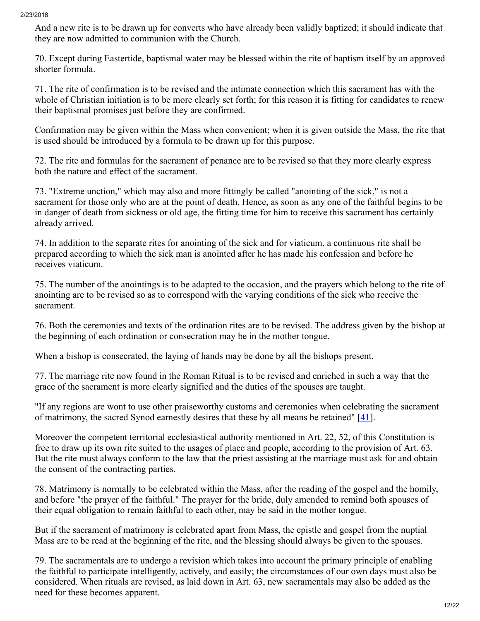And a new rite is to be drawn up for converts who have already been validly baptized; it should indicate that they are now admitted to communion with the Church.

70. Except during Eastertide, baptismal water may be blessed within the rite of baptism itself by an approved shorter formula.

71. The rite of confirmation is to be revised and the intimate connection which this sacrament has with the whole of Christian initiation is to be more clearly set forth; for this reason it is fitting for candidates to renew their baptismal promises just before they are confirmed.

Confirmation may be given within the Mass when convenient; when it is given outside the Mass, the rite that is used should be introduced by a formula to be drawn up for this purpose.

72. The rite and formulas for the sacrament of penance are to be revised so that they more clearly express both the nature and effect of the sacrament.

73. "Extreme unction," which may also and more fittingly be called "anointing of the sick," is not a sacrament for those only who are at the point of death. Hence, as soon as any one of the faithful begins to be in danger of death from sickness or old age, the fitting time for him to receive this sacrament has certainly already arrived.

74. In addition to the separate rites for anointing of the sick and for viaticum, a continuous rite shall be prepared according to which the sick man is anointed after he has made his confession and before he receives viaticum.

75. The number of the anointings is to be adapted to the occasion, and the prayers which belong to the rite of anointing are to be revised so as to correspond with the varying conditions of the sick who receive the sacrament.

76. Both the ceremonies and texts of the ordination rites are to be revised. The address given by the bishop at the beginning of each ordination or consecration may be in the mother tongue.

When a bishop is consecrated, the laying of hands may be done by all the bishops present.

77. The marriage rite now found in the Roman Ritual is to be revised and enriched in such a way that the grace of the sacrament is more clearly signified and the duties of the spouses are taught.

"If any regions are wont to use other praiseworthy customs and ceremonies when celebrating the sacrament of matrimony, the sacred Synod earnestly desires that these by all means be retained" [[41](#page-21-11)].

Moreover the competent territorial ecclesiastical authority mentioned in Art. 22, 52, of this Constitution is free to draw up its own rite suited to the usages of place and people, according to the provision of Art. 63. But the rite must always conform to the law that the priest assisting at the marriage must ask for and obtain the consent of the contracting parties.

78. Matrimony is normally to be celebrated within the Mass, after the reading of the gospel and the homily, and before "the prayer of the faithful." The prayer for the bride, duly amended to remind both spouses of their equal obligation to remain faithful to each other, may be said in the mother tongue.

But if the sacrament of matrimony is celebrated apart from Mass, the epistle and gospel from the nuptial Mass are to be read at the beginning of the rite, and the blessing should always be given to the spouses.

79. The sacramentals are to undergo a revision which takes into account the primary principle of enabling the faithful to participate intelligently, actively, and easily; the circumstances of our own days must also be considered. When rituals are revised, as laid down in Art. 63, new sacramentals may also be added as the need for these becomes apparent.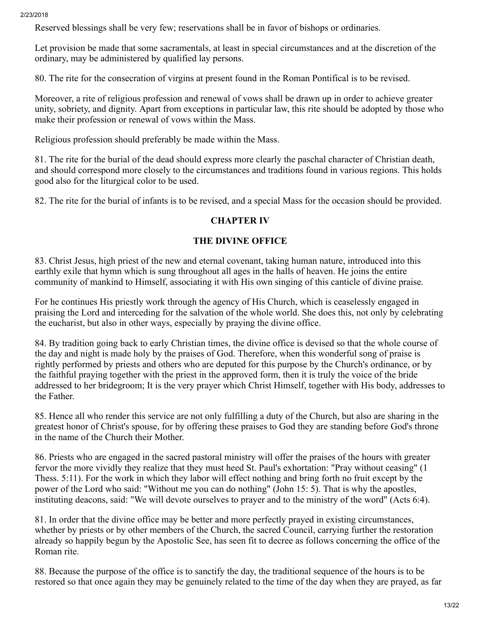Reserved blessings shall be very few; reservations shall be in favor of bishops or ordinaries.

Let provision be made that some sacramentals, at least in special circumstances and at the discretion of the ordinary, may be administered by qualified lay persons.

80. The rite for the consecration of virgins at present found in the Roman Pontifical is to be revised.

Moreover, a rite of religious profession and renewal of vows shall be drawn up in order to achieve greater unity, sobriety, and dignity. Apart from exceptions in particular law, this rite should be adopted by those who make their profession or renewal of vows within the Mass.

Religious profession should preferably be made within the Mass.

81. The rite for the burial of the dead should express more clearly the paschal character of Christian death, and should correspond more closely to the circumstances and traditions found in various regions. This holds good also for the liturgical color to be used.

82. The rite for the burial of infants is to be revised, and a special Mass for the occasion should be provided.

# CHAPTER IV

# THE DIVINE OFFICE

83. Christ Jesus, high priest of the new and eternal covenant, taking human nature, introduced into this earthly exile that hymn which is sung throughout all ages in the halls of heaven. He joins the entire community of mankind to Himself, associating it with His own singing of this canticle of divine praise.

For he continues His priestly work through the agency of His Church, which is ceaselessly engaged in praising the Lord and interceding for the salvation of the whole world. She does this, not only by celebrating the eucharist, but also in other ways, especially by praying the divine office.

84. By tradition going back to early Christian times, the divine office is devised so that the whole course of the day and night is made holy by the praises of God. Therefore, when this wonderful song of praise is rightly performed by priests and others who are deputed for this purpose by the Church's ordinance, or by the faithful praying together with the priest in the approved form, then it is truly the voice of the bride addressed to her bridegroom; It is the very prayer which Christ Himself, together with His body, addresses to the Father.

85. Hence all who render this service are not only fulfilling a duty of the Church, but also are sharing in the greatest honor of Christ's spouse, for by offering these praises to God they are standing before God's throne in the name of the Church their Mother.

86. Priests who are engaged in the sacred pastoral ministry will offer the praises of the hours with greater fervor the more vividly they realize that they must heed St. Paul's exhortation: "Pray without ceasing" (1 Thess. 5:11). For the work in which they labor will effect nothing and bring forth no fruit except by the power of the Lord who said: "Without me you can do nothing" (John 15: 5). That is why the apostles, instituting deacons, said: "We will devote ourselves to prayer and to the ministry of the word" (Acts 6:4).

81. In order that the divine office may be better and more perfectly prayed in existing circumstances, whether by priests or by other members of the Church, the sacred Council, carrying further the restoration already so happily begun by the Apostolic See, has seen fit to decree as follows concerning the office of the Roman rite.

88. Because the purpose of the office is to sanctify the day, the traditional sequence of the hours is to be restored so that once again they may be genuinely related to the time of the day when they are prayed, as far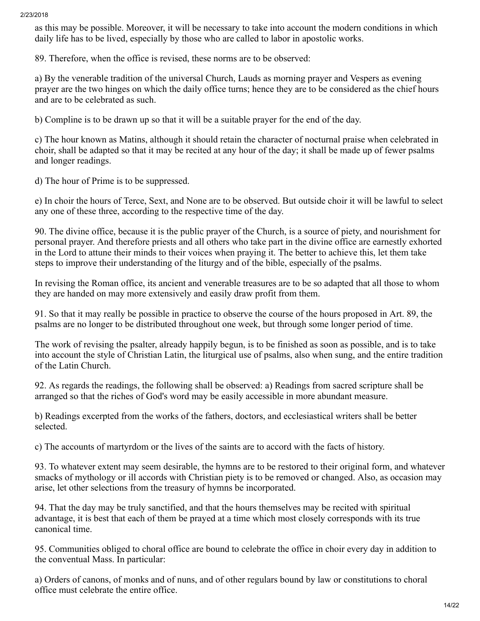as this may be possible. Moreover, it will be necessary to take into account the modern conditions in which daily life has to be lived, especially by those who are called to labor in apostolic works.

89. Therefore, when the office is revised, these norms are to be observed:

a) By the venerable tradition of the universal Church, Lauds as morning prayer and Vespers as evening prayer are the two hinges on which the daily office turns; hence they are to be considered as the chief hours and are to be celebrated as such.

b) Compline is to be drawn up so that it will be a suitable prayer for the end of the day.

c) The hour known as Matins, although it should retain the character of nocturnal praise when celebrated in choir, shall be adapted so that it may be recited at any hour of the day; it shall be made up of fewer psalms and longer readings.

d) The hour of Prime is to be suppressed.

e) In choir the hours of Terce, Sext, and None are to be observed. But outside choir it will be lawful to select any one of these three, according to the respective time of the day.

90. The divine office, because it is the public prayer of the Church, is a source of piety, and nourishment for personal prayer. And therefore priests and all others who take part in the divine office are earnestly exhorted in the Lord to attune their minds to their voices when praying it. The better to achieve this, let them take steps to improve their understanding of the liturgy and of the bible, especially of the psalms.

In revising the Roman office, its ancient and venerable treasures are to be so adapted that all those to whom they are handed on may more extensively and easily draw profit from them.

91. So that it may really be possible in practice to observe the course of the hours proposed in Art. 89, the psalms are no longer to be distributed throughout one week, but through some longer period of time.

The work of revising the psalter, already happily begun, is to be finished as soon as possible, and is to take into account the style of Christian Latin, the liturgical use of psalms, also when sung, and the entire tradition of the Latin Church.

92. As regards the readings, the following shall be observed: a) Readings from sacred scripture shall be arranged so that the riches of God's word may be easily accessible in more abundant measure.

b) Readings excerpted from the works of the fathers, doctors, and ecclesiastical writers shall be better selected.

c) The accounts of martyrdom or the lives of the saints are to accord with the facts of history.

93. To whatever extent may seem desirable, the hymns are to be restored to their original form, and whatever smacks of mythology or ill accords with Christian piety is to be removed or changed. Also, as occasion may arise, let other selections from the treasury of hymns be incorporated.

94. That the day may be truly sanctified, and that the hours themselves may be recited with spiritual advantage, it is best that each of them be prayed at a time which most closely corresponds with its true canonical time.

95. Communities obliged to choral office are bound to celebrate the office in choir every day in addition to the conventual Mass. In particular:

a) Orders of canons, of monks and of nuns, and of other regulars bound by law or constitutions to choral office must celebrate the entire office.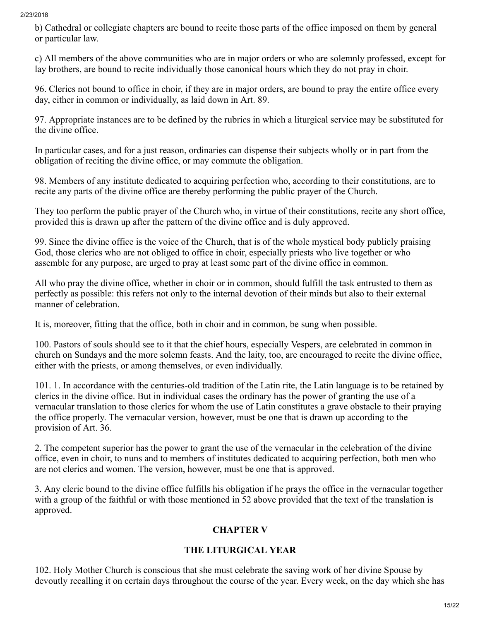b) Cathedral or collegiate chapters are bound to recite those parts of the office imposed on them by general or particular law.

c) All members of the above communities who are in major orders or who are solemnly professed, except for lay brothers, are bound to recite individually those canonical hours which they do not pray in choir.

96. Clerics not bound to office in choir, if they are in major orders, are bound to pray the entire office every day, either in common or individually, as laid down in Art. 89.

97. Appropriate instances are to be defined by the rubrics in which a liturgical service may be substituted for the divine office.

In particular cases, and for a just reason, ordinaries can dispense their subjects wholly or in part from the obligation of reciting the divine office, or may commute the obligation.

98. Members of any institute dedicated to acquiring perfection who, according to their constitutions, are to recite any parts of the divine office are thereby performing the public prayer of the Church.

They too perform the public prayer of the Church who, in virtue of their constitutions, recite any short office, provided this is drawn up after the pattern of the divine office and is duly approved.

99. Since the divine office is the voice of the Church, that is of the whole mystical body publicly praising God, those clerics who are not obliged to office in choir, especially priests who live together or who assemble for any purpose, are urged to pray at least some part of the divine office in common.

All who pray the divine office, whether in choir or in common, should fulfill the task entrusted to them as perfectly as possible: this refers not only to the internal devotion of their minds but also to their external manner of celebration.

It is, moreover, fitting that the office, both in choir and in common, be sung when possible.

100. Pastors of souls should see to it that the chief hours, especially Vespers, are celebrated in common in church on Sundays and the more solemn feasts. And the laity, too, are encouraged to recite the divine office, either with the priests, or among themselves, or even individually.

101. 1. In accordance with the centuries-old tradition of the Latin rite, the Latin language is to be retained by clerics in the divine office. But in individual cases the ordinary has the power of granting the use of a vernacular translation to those clerics for whom the use of Latin constitutes a grave obstacle to their praying the office properly. The vernacular version, however, must be one that is drawn up according to the provision of Art. 36.

2. The competent superior has the power to grant the use of the vernacular in the celebration of the divine office, even in choir, to nuns and to members of institutes dedicated to acquiring perfection, both men who are not clerics and women. The version, however, must be one that is approved.

3. Any cleric bound to the divine office fulfills his obligation if he prays the office in the vernacular together with a group of the faithful or with those mentioned in 52 above provided that the text of the translation is approved.

# CHAPTER V

# THE LITURGICAL YEAR

102. Holy Mother Church is conscious that she must celebrate the saving work of her divine Spouse by devoutly recalling it on certain days throughout the course of the year. Every week, on the day which she has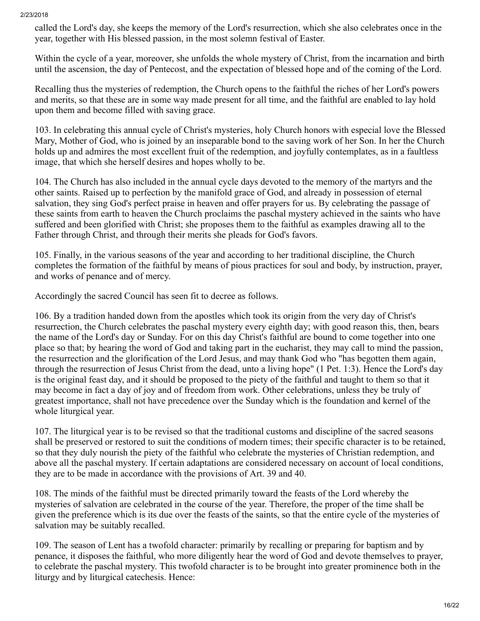called the Lord's day, she keeps the memory of the Lord's resurrection, which she also celebrates once in the year, together with His blessed passion, in the most solemn festival of Easter.

Within the cycle of a year, moreover, she unfolds the whole mystery of Christ, from the incarnation and birth until the ascension, the day of Pentecost, and the expectation of blessed hope and of the coming of the Lord.

Recalling thus the mysteries of redemption, the Church opens to the faithful the riches of her Lord's powers and merits, so that these are in some way made present for all time, and the faithful are enabled to lay hold upon them and become filled with saving grace.

103. In celebrating this annual cycle of Christ's mysteries, holy Church honors with especial love the Blessed Mary, Mother of God, who is joined by an inseparable bond to the saving work of her Son. In her the Church holds up and admires the most excellent fruit of the redemption, and joyfully contemplates, as in a faultless image, that which she herself desires and hopes wholly to be.

104. The Church has also included in the annual cycle days devoted to the memory of the martyrs and the other saints. Raised up to perfection by the manifold grace of God, and already in possession of eternal salvation, they sing God's perfect praise in heaven and offer prayers for us. By celebrating the passage of these saints from earth to heaven the Church proclaims the paschal mystery achieved in the saints who have suffered and been glorified with Christ; she proposes them to the faithful as examples drawing all to the Father through Christ, and through their merits she pleads for God's favors.

105. Finally, in the various seasons of the year and according to her traditional discipline, the Church completes the formation of the faithful by means of pious practices for soul and body, by instruction, prayer, and works of penance and of mercy.

Accordingly the sacred Council has seen fit to decree as follows.

106. By a tradition handed down from the apostles which took its origin from the very day of Christ's resurrection, the Church celebrates the paschal mystery every eighth day; with good reason this, then, bears the name of the Lord's day or Sunday. For on this day Christ's faithful are bound to come together into one place so that; by hearing the word of God and taking part in the eucharist, they may call to mind the passion, the resurrection and the glorification of the Lord Jesus, and may thank God who "has begotten them again, through the resurrection of Jesus Christ from the dead, unto a living hope" (1 Pet. 1:3). Hence the Lord's day is the original feast day, and it should be proposed to the piety of the faithful and taught to them so that it may become in fact a day of joy and of freedom from work. Other celebrations, unless they be truly of greatest importance, shall not have precedence over the Sunday which is the foundation and kernel of the whole liturgical year.

107. The liturgical year is to be revised so that the traditional customs and discipline of the sacred seasons shall be preserved or restored to suit the conditions of modern times; their specific character is to be retained, so that they duly nourish the piety of the faithful who celebrate the mysteries of Christian redemption, and above all the paschal mystery. If certain adaptations are considered necessary on account of local conditions, they are to be made in accordance with the provisions of Art. 39 and 40.

108. The minds of the faithful must be directed primarily toward the feasts of the Lord whereby the mysteries of salvation are celebrated in the course of the year. Therefore, the proper of the time shall be given the preference which is its due over the feasts of the saints, so that the entire cycle of the mysteries of salvation may be suitably recalled.

109. The season of Lent has a twofold character: primarily by recalling or preparing for baptism and by penance, it disposes the faithful, who more diligently hear the word of God and devote themselves to prayer, to celebrate the paschal mystery. This twofold character is to be brought into greater prominence both in the liturgy and by liturgical catechesis. Hence: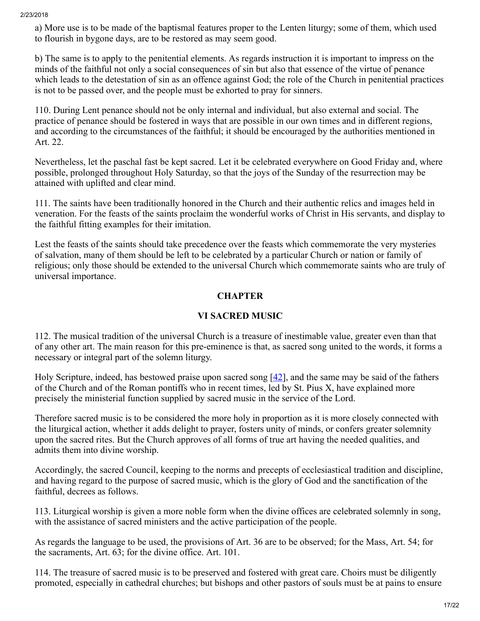a) More use is to be made of the baptismal features proper to the Lenten liturgy; some of them, which used to flourish in bygone days, are to be restored as may seem good.

b) The same is to apply to the penitential elements. As regards instruction it is important to impress on the minds of the faithful not only a social consequences of sin but also that essence of the virtue of penance which leads to the detestation of sin as an offence against God; the role of the Church in penitential practices is not to be passed over, and the people must be exhorted to pray for sinners.

110. During Lent penance should not be only internal and individual, but also external and social. The practice of penance should be fostered in ways that are possible in our own times and in different regions, and according to the circumstances of the faithful; it should be encouraged by the authorities mentioned in Art. 22.

Nevertheless, let the paschal fast be kept sacred. Let it be celebrated everywhere on Good Friday and, where possible, prolonged throughout Holy Saturday, so that the joys of the Sunday of the resurrection may be attained with uplifted and clear mind.

111. The saints have been traditionally honored in the Church and their authentic relics and images held in veneration. For the feasts of the saints proclaim the wonderful works of Christ in His servants, and display to the faithful fitting examples for their imitation.

Lest the feasts of the saints should take precedence over the feasts which commemorate the very mysteries of salvation, many of them should be left to be celebrated by a particular Church or nation or family of religious; only those should be extended to the universal Church which commemorate saints who are truly of universal importance.

### **CHAPTER**

### <span id="page-16-0"></span>VI SACRED MUSIC

112. The musical tradition of the universal Church is a treasure of inestimable value, greater even than that of any other art. The main reason for this pre-eminence is that, as sacred song united to the words, it forms a necessary or integral part of the solemn liturgy.

Holy Scripture, indeed, has bestowed praise upon sacred song [\[42](#page-21-12)], and the same may be said of the fathers of the Church and of the Roman pontiffs who in recent times, led by St. Pius X, have explained more precisely the ministerial function supplied by sacred music in the service of the Lord.

Therefore sacred music is to be considered the more holy in proportion as it is more closely connected with the liturgical action, whether it adds delight to prayer, fosters unity of minds, or confers greater solemnity upon the sacred rites. But the Church approves of all forms of true art having the needed qualities, and admits them into divine worship.

Accordingly, the sacred Council, keeping to the norms and precepts of ecclesiastical tradition and discipline, and having regard to the purpose of sacred music, which is the glory of God and the sanctification of the faithful, decrees as follows.

113. Liturgical worship is given a more noble form when the divine offices are celebrated solemnly in song, with the assistance of sacred ministers and the active participation of the people.

As regards the language to be used, the provisions of Art. 36 are to be observed; for the Mass, Art. 54; for the sacraments, Art. 63; for the divine office. Art. 101.

114. The treasure of sacred music is to be preserved and fostered with great care. Choirs must be diligently promoted, especially in cathedral churches; but bishops and other pastors of souls must be at pains to ensure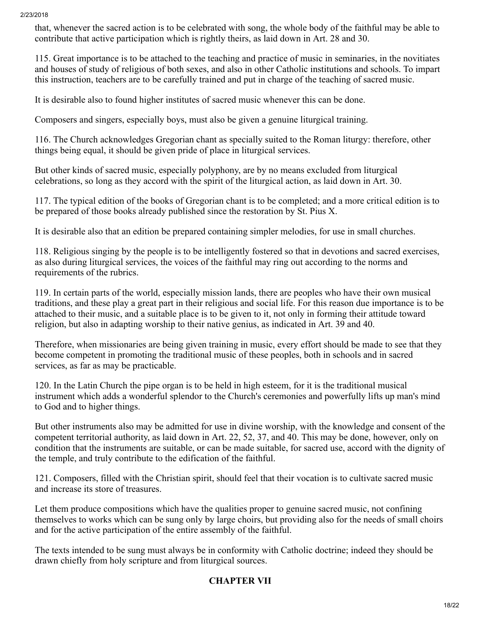that, whenever the sacred action is to be celebrated with song, the whole body of the faithful may be able to contribute that active participation which is rightly theirs, as laid down in Art. 28 and 30.

115. Great importance is to be attached to the teaching and practice of music in seminaries, in the novitiates and houses of study of religious of both sexes, and also in other Catholic institutions and schools. To impart this instruction, teachers are to be carefully trained and put in charge of the teaching of sacred music.

It is desirable also to found higher institutes of sacred music whenever this can be done.

Composers and singers, especially boys, must also be given a genuine liturgical training.

116. The Church acknowledges Gregorian chant as specially suited to the Roman liturgy: therefore, other things being equal, it should be given pride of place in liturgical services.

But other kinds of sacred music, especially polyphony, are by no means excluded from liturgical celebrations, so long as they accord with the spirit of the liturgical action, as laid down in Art. 30.

117. The typical edition of the books of Gregorian chant is to be completed; and a more critical edition is to be prepared of those books already published since the restoration by St. Pius X.

It is desirable also that an edition be prepared containing simpler melodies, for use in small churches.

118. Religious singing by the people is to be intelligently fostered so that in devotions and sacred exercises, as also during liturgical services, the voices of the faithful may ring out according to the norms and requirements of the rubrics.

119. In certain parts of the world, especially mission lands, there are peoples who have their own musical traditions, and these play a great part in their religious and social life. For this reason due importance is to be attached to their music, and a suitable place is to be given to it, not only in forming their attitude toward religion, but also in adapting worship to their native genius, as indicated in Art. 39 and 40.

Therefore, when missionaries are being given training in music, every effort should be made to see that they become competent in promoting the traditional music of these peoples, both in schools and in sacred services, as far as may be practicable.

120. In the Latin Church the pipe organ is to be held in high esteem, for it is the traditional musical instrument which adds a wonderful splendor to the Church's ceremonies and powerfully lifts up man's mind to God and to higher things.

But other instruments also may be admitted for use in divine worship, with the knowledge and consent of the competent territorial authority, as laid down in Art. 22, 52, 37, and 40. This may be done, however, only on condition that the instruments are suitable, or can be made suitable, for sacred use, accord with the dignity of the temple, and truly contribute to the edification of the faithful.

121. Composers, filled with the Christian spirit, should feel that their vocation is to cultivate sacred music and increase its store of treasures.

Let them produce compositions which have the qualities proper to genuine sacred music, not confining themselves to works which can be sung only by large choirs, but providing also for the needs of small choirs and for the active participation of the entire assembly of the faithful.

The texts intended to be sung must always be in conformity with Catholic doctrine; indeed they should be drawn chiefly from holy scripture and from liturgical sources.

### CHAPTER VII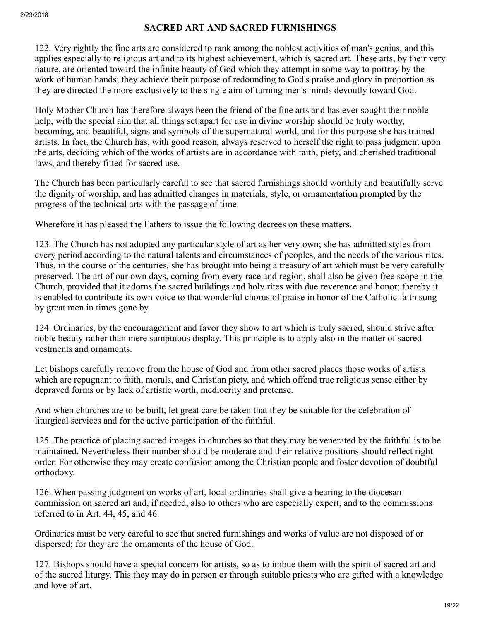#### SACRED ART AND SACRED FURNISHINGS

122. Very rightly the fine arts are considered to rank among the noblest activities of man's genius, and this applies especially to religious art and to its highest achievement, which is sacred art. These arts, by their very nature, are oriented toward the infinite beauty of God which they attempt in some way to portray by the work of human hands; they achieve their purpose of redounding to God's praise and glory in proportion as they are directed the more exclusively to the single aim of turning men's minds devoutly toward God.

Holy Mother Church has therefore always been the friend of the fine arts and has ever sought their noble help, with the special aim that all things set apart for use in divine worship should be truly worthy, becoming, and beautiful, signs and symbols of the supernatural world, and for this purpose she has trained artists. In fact, the Church has, with good reason, always reserved to herself the right to pass judgment upon the arts, deciding which of the works of artists are in accordance with faith, piety, and cherished traditional laws, and thereby fitted for sacred use.

The Church has been particularly careful to see that sacred furnishings should worthily and beautifully serve the dignity of worship, and has admitted changes in materials, style, or ornamentation prompted by the progress of the technical arts with the passage of time.

Wherefore it has pleased the Fathers to issue the following decrees on these matters.

123. The Church has not adopted any particular style of art as her very own; she has admitted styles from every period according to the natural talents and circumstances of peoples, and the needs of the various rites. Thus, in the course of the centuries, she has brought into being a treasury of art which must be very carefully preserved. The art of our own days, coming from every race and region, shall also be given free scope in the Church, provided that it adorns the sacred buildings and holy rites with due reverence and honor; thereby it is enabled to contribute its own voice to that wonderful chorus of praise in honor of the Catholic faith sung by great men in times gone by.

124. Ordinaries, by the encouragement and favor they show to art which is truly sacred, should strive after noble beauty rather than mere sumptuous display. This principle is to apply also in the matter of sacred vestments and ornaments.

Let bishops carefully remove from the house of God and from other sacred places those works of artists which are repugnant to faith, morals, and Christian piety, and which offend true religious sense either by depraved forms or by lack of artistic worth, mediocrity and pretense.

And when churches are to be built, let great care be taken that they be suitable for the celebration of liturgical services and for the active participation of the faithful.

125. The practice of placing sacred images in churches so that they may be venerated by the faithful is to be maintained. Nevertheless their number should be moderate and their relative positions should reflect right order. For otherwise they may create confusion among the Christian people and foster devotion of doubtful orthodoxy.

126. When passing judgment on works of art, local ordinaries shall give a hearing to the diocesan commission on sacred art and, if needed, also to others who are especially expert, and to the commissions referred to in Art. 44, 45, and 46.

Ordinaries must be very careful to see that sacred furnishings and works of value are not disposed of or dispersed; for they are the ornaments of the house of God.

127. Bishops should have a special concern for artists, so as to imbue them with the spirit of sacred art and of the sacred liturgy. This they may do in person or through suitable priests who are gifted with a knowledge and love of art.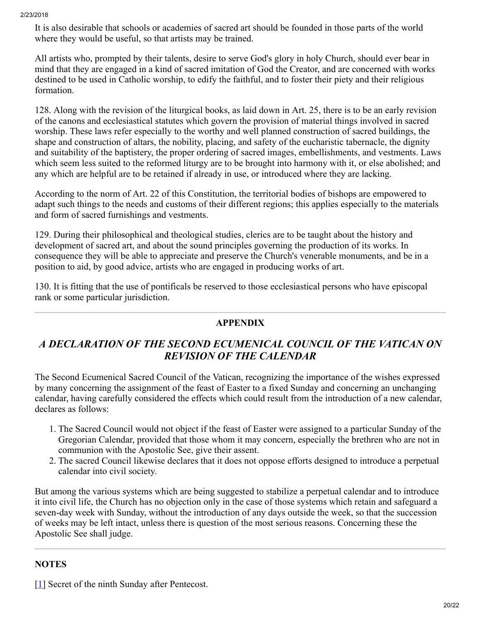It is also desirable that schools or academies of sacred art should be founded in those parts of the world where they would be useful, so that artists may be trained.

All artists who, prompted by their talents, desire to serve God's glory in holy Church, should ever bear in mind that they are engaged in a kind of sacred imitation of God the Creator, and are concerned with works destined to be used in Catholic worship, to edify the faithful, and to foster their piety and their religious formation.

128. Along with the revision of the liturgical books, as laid down in Art. 25, there is to be an early revision of the canons and ecclesiastical statutes which govern the provision of material things involved in sacred worship. These laws refer especially to the worthy and well planned construction of sacred buildings, the shape and construction of altars, the nobility, placing, and safety of the eucharistic tabernacle, the dignity and suitability of the baptistery, the proper ordering of sacred images, embellishments, and vestments. Laws which seem less suited to the reformed liturgy are to be brought into harmony with it, or else abolished; and any which are helpful are to be retained if already in use, or introduced where they are lacking.

According to the norm of Art. 22 of this Constitution, the territorial bodies of bishops are empowered to adapt such things to the needs and customs of their different regions; this applies especially to the materials and form of sacred furnishings and vestments.

129. During their philosophical and theological studies, clerics are to be taught about the history and development of sacred art, and about the sound principles governing the production of its works. In consequence they will be able to appreciate and preserve the Church's venerable monuments, and be in a position to aid, by good advice, artists who are engaged in producing works of art.

130. It is fitting that the use of pontificals be reserved to those ecclesiastical persons who have episcopal rank or some particular jurisdiction.

# APPENDIX

# *A DECLARATION OF THE SECOND ECUMENICAL COUNCIL OF THE VATICAN ON REVISION OF THE CALENDAR*

The Second Ecumenical Sacred Council of the Vatican, recognizing the importance of the wishes expressed by many concerning the assignment of the feast of Easter to a fixed Sunday and concerning an unchanging calendar, having carefully considered the effects which could result from the introduction of a new calendar, declares as follows:

- 1. The Sacred Council would not object if the feast of Easter were assigned to a particular Sunday of the Gregorian Calendar, provided that those whom it may concern, especially the brethren who are not in communion with the Apostolic See, give their assent.
- 2. The sacred Council likewise declares that it does not oppose efforts designed to introduce a perpetual calendar into civil society.

But among the various systems which are being suggested to stabilize a perpetual calendar and to introduce it into civil life, the Church has no objection only in the case of those systems which retain and safeguard a seven-day week with Sunday, without the introduction of any days outside the week, so that the succession of weeks may be left intact, unless there is question of the most serious reasons. Concerning these the Apostolic See shall judge.

# **NOTES**

<span id="page-19-0"></span>[\[1](#page-0-0)] Secret of the ninth Sunday after Pentecost.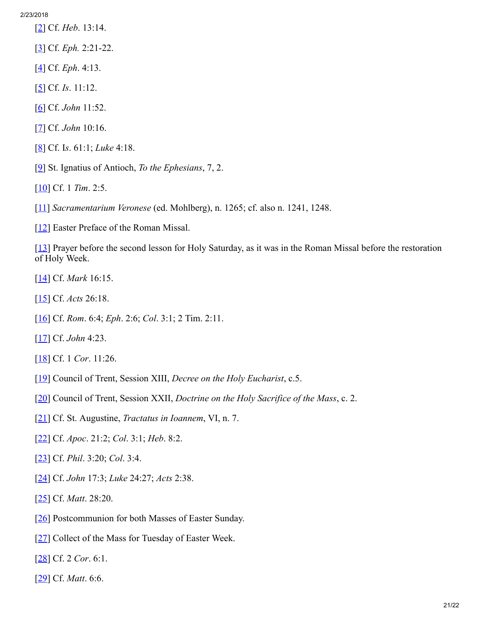<span id="page-20-0"></span>[\[2](#page-0-1)] Cf. *Heb*. 13:14.

- <span id="page-20-1"></span>[\[3](#page-0-2)] Cf. *Eph.* 2:21-22.
- <span id="page-20-2"></span>[\[4](#page-0-3)] Cf. *Eph*. 4:13.
- <span id="page-20-3"></span>[\[5](#page-0-4)] Cf. *Is*. 11:12.
- <span id="page-20-4"></span>[\[6](#page-0-5)] Cf. *John* 11:52.
- <span id="page-20-5"></span>[\[7](#page-0-6)] Cf. *John* 10:16.
- <span id="page-20-6"></span>[\[8](#page-1-0)] Cf. I*s*. 61:1; *Luke* 4:18.
- <span id="page-20-7"></span>[\[9](#page-1-1)] St. Ignatius of Antioch, *To the Ephesians*, 7, 2.
- <span id="page-20-8"></span>[\[10](#page-1-2)] Cf. 1 *Tim*. 2:5.
- <span id="page-20-9"></span>[\[11\]](#page-1-3) *Sacramentarium Veronese* (ed. Mohlberg), n. 1265; cf. also n. 1241, 1248.
- <span id="page-20-10"></span>[\[12](#page-1-4)] Easter Preface of the Roman Missal.

<span id="page-20-11"></span>[\[13](#page-1-5)] Prayer before the second lesson for Holy Saturday, as it was in the Roman Missal before the restoration of Holy Week.

- <span id="page-20-12"></span>[\[14](#page-1-6)] Cf. *Mark* 16:15.
- <span id="page-20-13"></span>[\[15](#page-1-7)] Cf. *Acts* 26:18.
- <span id="page-20-14"></span>[\[16](#page-1-8)] Cf. *Rom*. 6:4; *Eph*. 2:6; *Col*. 3:1; 2 Tim. 2:11.
- <span id="page-20-15"></span>[\[17](#page-1-9)] Cf. *John* 4:23.
- <span id="page-20-16"></span>[\[18](#page-1-10)] Cf. 1 *Cor*. 11:26.
- <span id="page-20-17"></span>[\[19](#page-1-11)] Council of Trent, Session XIII, *Decree on the Holy Eucharist*, c.5.
- <span id="page-20-18"></span>[\[20](#page-1-12)] Council of Trent, Session XXII, *Doctrine on the Holy Sacrifice of the Mass*, c. 2.
- <span id="page-20-19"></span>[\[21](#page-1-13)] Cf. St. Augustine, *Tractatus in Ioannem*, VI, n. 7.
- <span id="page-20-20"></span>[\[22](#page-2-0)] Cf. *Apoc*. 21:2; *Col*. 3:1; *Heb*. 8:2.
- <span id="page-20-21"></span>[\[23](#page-2-1)] Cf. *Phil*. 3:20; *Col*. 3:4.
- <span id="page-20-22"></span>[\[24](#page-2-2)] Cf. *John* 17:3; *Luke* 24:27; *Acts* 2:38.
- <span id="page-20-23"></span>[\[25](#page-2-3)] Cf. *Matt*. 28:20.
- <span id="page-20-24"></span>[\[26](#page-2-4)] Postcommunion for both Masses of Easter Sunday.
- <span id="page-20-25"></span>[\[27](#page-2-5)] Collect of the Mass for Tuesday of Easter Week.
- <span id="page-20-26"></span>[\[28](#page-2-6)] Cf. 2 *Cor*. 6:1.
- <span id="page-20-27"></span>[\[29](#page-2-7)] Cf. *Matt*. 6:6.